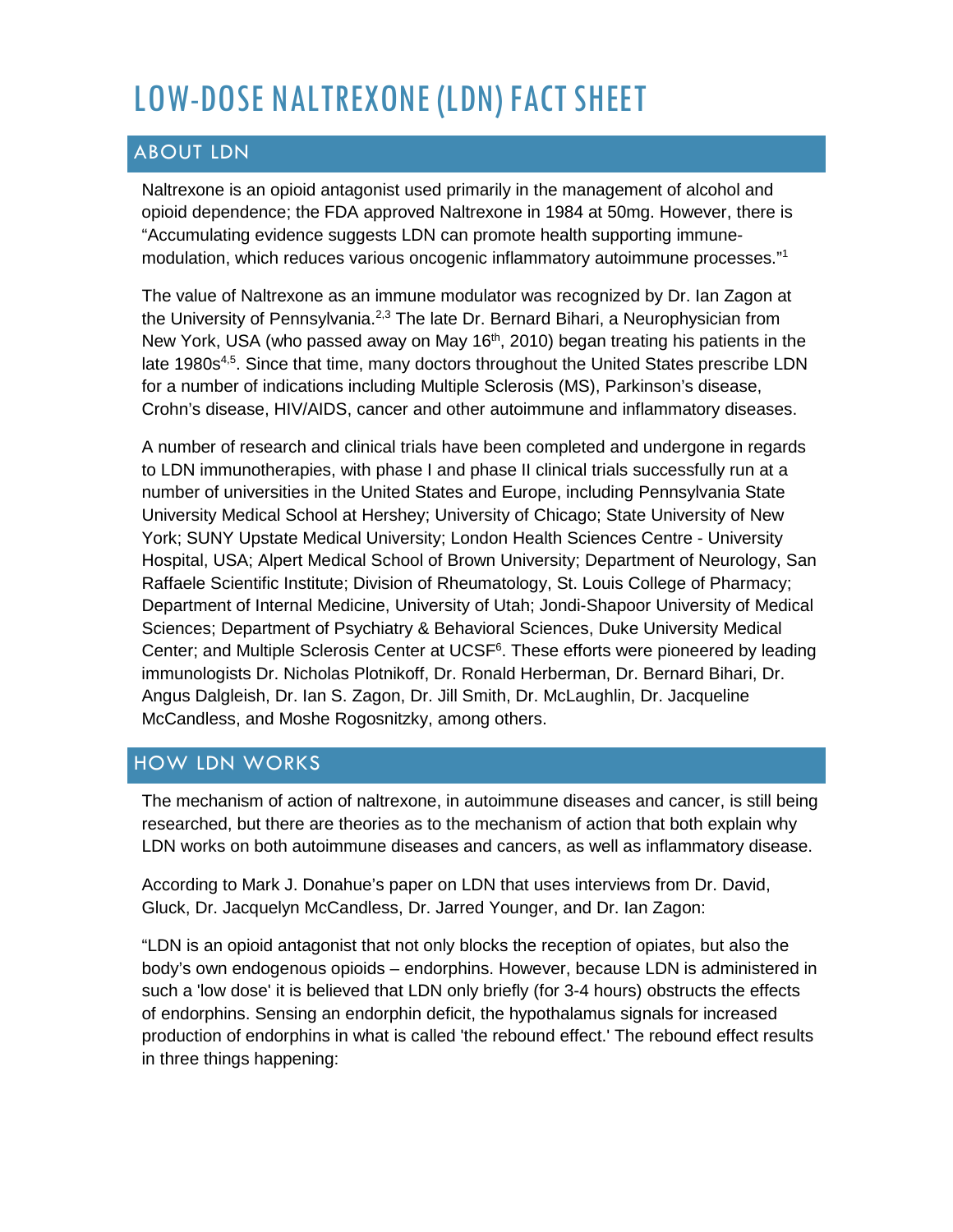# LOW-DOSE NALTREXONE (LDN) FACT SHEET

# ABOUT LDN

Naltrexone is an opioid antagonist used primarily in the management of alcohol and opioid dependence; the FDA approved Naltrexone in 1984 at 50mg. However, there is "Accumulating evidence suggests LDN can promote health supporting immunemodulation, which reduces various oncogenic inflammatory autoimmune processes."1

The value of Naltrexone as an immune modulator was recognized by Dr. Ian Zagon at the University of Pennsylvania.<sup>2,3</sup> The late Dr. Bernard Bihari, a Neurophysician from New York, USA (who passed away on May 16<sup>th</sup>, 2010) began treating his patients in the late 1980s<sup>4,5</sup>. Since that time, many doctors throughout the United States prescribe LDN for a number of indications including Multiple Sclerosis (MS), Parkinson's disease, Crohn's disease, HIV/AIDS, cancer and other autoimmune and inflammatory diseases.

A number of research and clinical trials have been completed and undergone in regards to LDN immunotherapies, with phase I and phase II clinical trials successfully run at a number of universities in the United States and Europe, including Pennsylvania State University Medical School at Hershey; University of Chicago; State University of New York; SUNY Upstate Medical University; London Health Sciences Centre - University Hospital, USA; Alpert Medical School of Brown University; Department of Neurology, San Raffaele Scientific Institute; Division of Rheumatology, St. Louis College of Pharmacy; Department of Internal Medicine, University of Utah; Jondi-Shapoor University of Medical Sciences; Department of Psychiatry & Behavioral Sciences, Duke University Medical Center; and Multiple Sclerosis Center at UCSF<sup>6</sup>. These efforts were pioneered by leading immunologists Dr. Nicholas Plotnikoff, Dr. Ronald Herberman, Dr. Bernard Bihari, Dr. Angus Dalgleish, Dr. Ian S. Zagon, Dr. Jill Smith, Dr. McLaughlin, Dr. Jacqueline McCandless, and Moshe Rogosnitzky, among others.

# HOW LDN WORKS

The mechanism of action of naltrexone, in autoimmune diseases and cancer, is still being researched, but there are theories as to the mechanism of action that both explain why LDN works on both autoimmune diseases and cancers, as well as inflammatory disease.

According to Mark J. Donahue's paper on LDN that uses interviews from Dr. David, Gluck, Dr. Jacquelyn McCandless, Dr. Jarred Younger, and Dr. Ian Zagon:

"LDN is an opioid antagonist that not only blocks the reception of opiates, but also the body's own endogenous opioids – endorphins. However, because LDN is administered in such a 'low dose' it is believed that LDN only briefly (for 3-4 hours) obstructs the effects of endorphins. Sensing an endorphin deficit, the hypothalamus signals for increased production of endorphins in what is called 'the rebound effect.' The rebound effect results in three things happening: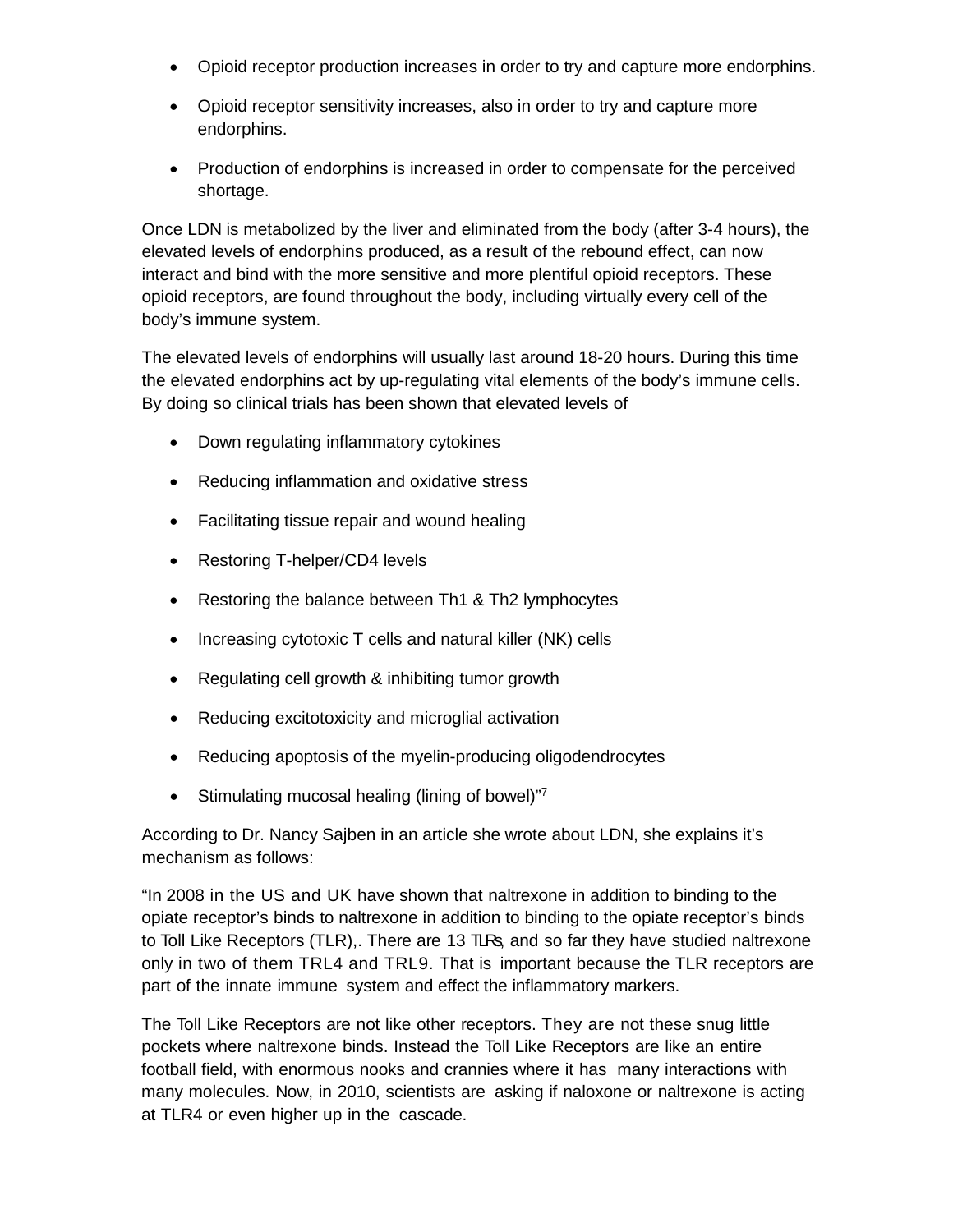- Opioid receptor production increases in order to try and capture more endorphins.
- Opioid receptor sensitivity increases, also in order to try and capture more endorphins.
- Production of endorphins is increased in order to compensate for the perceived shortage.

Once LDN is metabolized by the liver and eliminated from the body (after 3-4 hours), the elevated levels of endorphins produced, as a result of the rebound effect, can now interact and bind with the more sensitive and more plentiful opioid receptors. These opioid receptors, are found throughout the body, including virtually every cell of the body's immune system.

The elevated levels of endorphins will usually last around 18-20 hours. During this time the elevated endorphins act by up-regulating vital elements of the body's immune cells. By doing so clinical trials has been shown that elevated levels of

- Down regulating inflammatory cytokines
- Reducing inflammation and oxidative stress
- Facilitating tissue repair and wound healing
- Restoring T-helper/CD4 levels
- Restoring the balance between Th1 & Th2 lymphocytes
- Increasing cytotoxic T cells and natural killer (NK) cells
- Regulating cell growth & inhibiting tumor growth
- Reducing excitotoxicity and microglial activation
- Reducing apoptosis of the myelin-producing oligodendrocytes
- Stimulating mucosal healing (lining of bowel)"7

According to Dr. Nancy Sajben in an article she wrote about LDN, she explains it's mechanism as follows:

"In 2008 in the US and UK have shown that naltrexone in addition to binding to the opiate receptor's binds to naltrexone in addition to binding to the opiate receptor's binds to Toll Like Receptors (TLR),. There are 13 TLRs, and so far they have studied naltrexone only in two of them TRL4 and TRL9. That is important because the TLR receptors are part of the innate immune system and effect the inflammatory markers.

The Toll Like Receptors are not like other receptors. They are not these snug little pockets where naltrexone binds. Instead the Toll Like Receptors are like an entire football field, with enormous nooks and crannies where it has many interactions with many molecules. Now, in 2010, scientists are asking if naloxone or naltrexone is acting at TLR4 or even higher up in the cascade.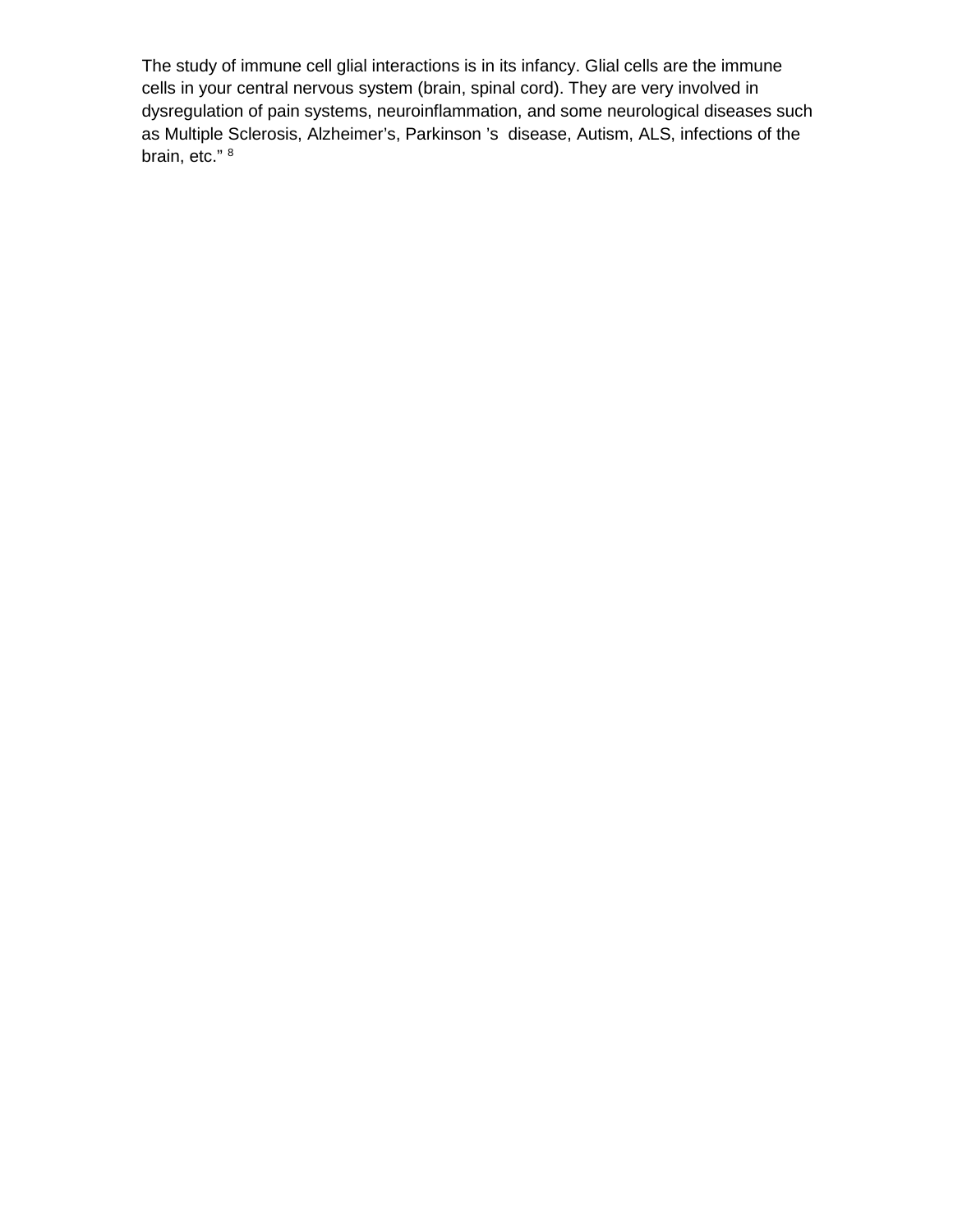The study of immune cell glial interactions is in its infancy. Glial cells are the immune cells in your central nervous system (brain, spinal cord). They are very involved in dysregulation of pain systems, neuroinflammation, and some neurological diseases such as Multiple Sclerosis, Alzheimer's, Parkinson 's disease, Autism, ALS, infections of the brain, etc." 8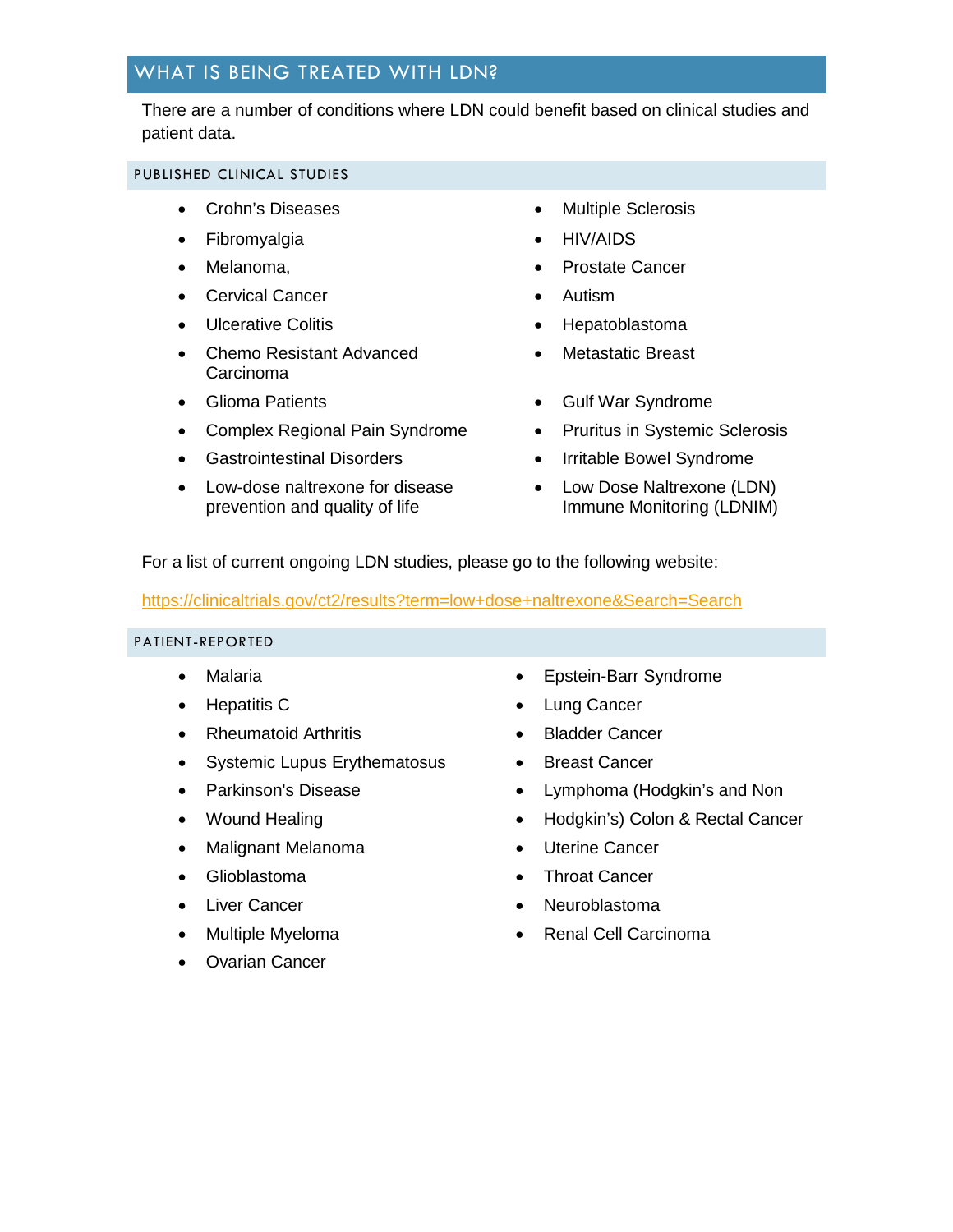## WHAT IS BEING TREATED WITH LDN?

There are a number of conditions where LDN could benefit based on clinical studies and patient data.

#### PUBLISHED CLINICAL STUDIES

- Crohn's Diseases Multiple Sclerosis
- Fibromyalgia HIV/AIDS
- 
- Cervical Cancer Autism
- 
- Chemo Resistant Advanced Carcinoma
- 
- Complex Regional Pain Syndrome Pruritus in Systemic Sclerosis
- Gastrointestinal Disorders Irritable Bowel Syndrome
- Low-dose naltrexone for disease prevention and quality of life
- 
- 
- Melanoma, Prostate Cancer
	-
- Ulcerative Colitis **by Colitis Hepatoblastoma** 
	- Metastatic Breast
- Glioma Patients Gulf War Syndrome
	-
	-
	- Low Dose Naltrexone (LDN) Immune Monitoring (LDNIM)

For a list of current ongoing LDN studies, please go to the following website:

#### <https://clinicaltrials.gov/ct2/results?term=low+dose+naltrexone&Search=Search>

#### PATIENT-REPORTED

- 
- 
- Rheumatoid Arthritis Bladder Cancer
- Systemic Lupus Erythematosus Breast Cancer
- 
- 
- Malignant Melanoma Uterine Cancer
- 
- 
- 
- Ovarian Cancer
- Malaria Epstein-Barr Syndrome
- Hepatitis C Lung Cancer
	-
	-
- Parkinson's Disease **•** Lymphoma (Hodgkin's and Non
- Wound Healing  **Hodgkin's** Colon & Rectal Cancer
	-
- Glioblastoma Throat Cancer
- Liver Cancer Neuroblastoma
	- Multiple Myeloma Renal Cell Carcinoma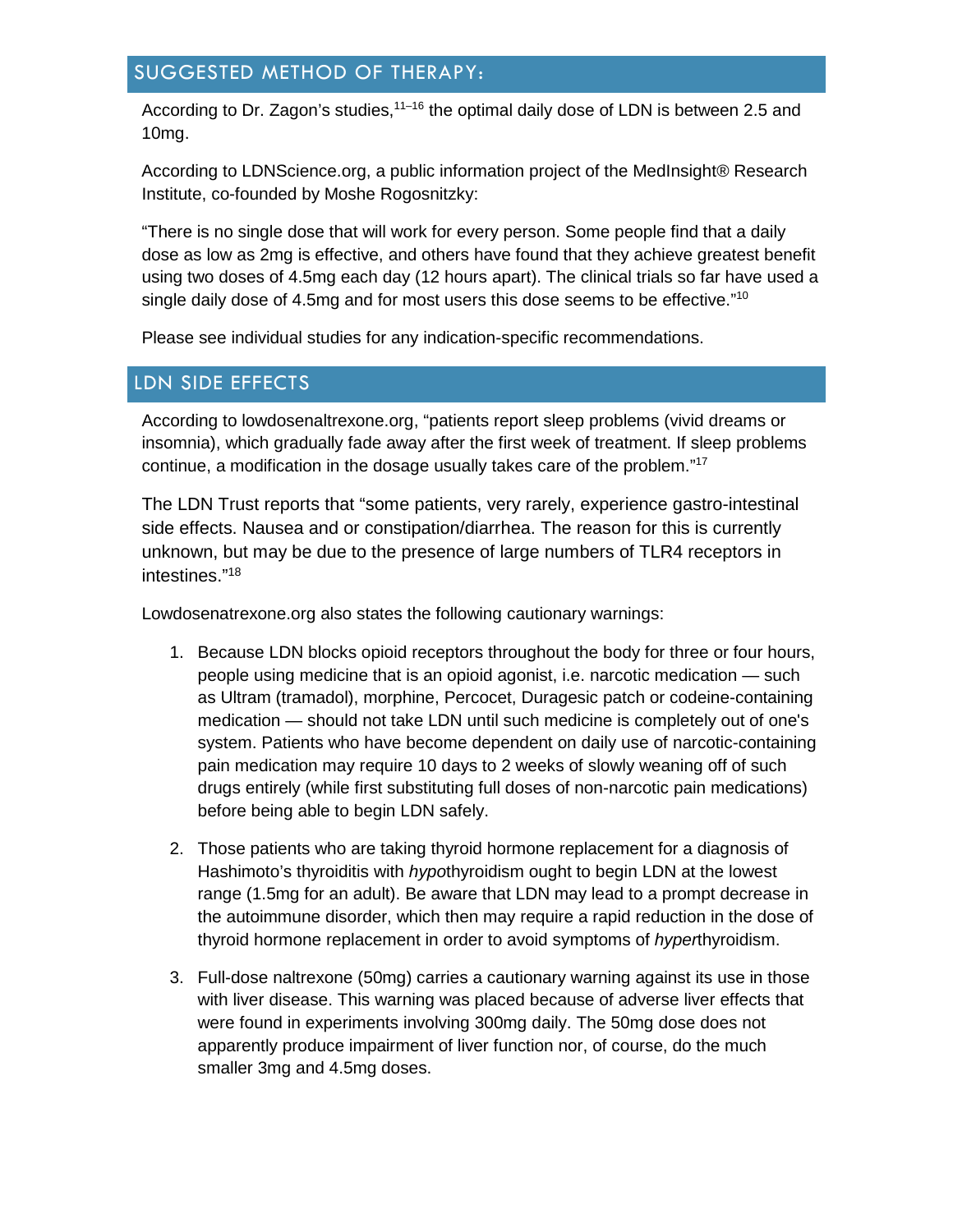## SUGGESTED METHOD OF THERAPY:

According to Dr. Zagon's studies,<sup>11–16</sup> the optimal daily dose of LDN is between 2.5 and 10mg.

According to LDNScience.org, a public information project of the MedInsight® Research Institute, co-founded by Moshe Rogosnitzky:

"There is no single dose that will work for every person. Some people find that a daily dose as low as 2mg is effective, and others have found that they achieve greatest benefit using two doses of 4.5mg each day (12 hours apart). The clinical trials so far have used a single daily dose of 4.5mg and for most users this dose seems to be effective."<sup>10</sup>

Please see individual studies for any indication-specific recommendations.

### LDN SIDE EFFECTS

According to lowdosenaltrexone.org, "patients report sleep problems (vivid dreams or insomnia), which gradually fade away after the first week of treatment. If sleep problems continue, a modification in the dosage usually takes care of the problem." 17

The LDN Trust reports that "some patients, very rarely, experience gastro-intestinal side effects. Nausea and or constipation/diarrhea. The reason for this is currently unknown, but may be due to the presence of large numbers of TLR4 receptors in intestines."18

Lowdosenatrexone.org also states the following cautionary warnings:

- 1. Because LDN blocks opioid receptors throughout the body for three or four hours, people using medicine that is an opioid agonist, i.e. narcotic medication — such as Ultram (tramadol), morphine, Percocet, Duragesic patch or codeine-containing medication — should not take LDN until such medicine is completely out of one's system. Patients who have become dependent on daily use of narcotic-containing pain medication may require 10 days to 2 weeks of slowly weaning off of such drugs entirely (while first substituting full doses of non-narcotic pain medications) before being able to begin LDN safely.
- 2. Those patients who are taking thyroid hormone replacement for a diagnosis of Hashimoto's thyroiditis with *hypo*thyroidism ought to begin LDN at the lowest range (1.5mg for an adult). Be aware that LDN may lead to a prompt decrease in the autoimmune disorder, which then may require a rapid reduction in the dose of thyroid hormone replacement in order to avoid symptoms of *hyper*thyroidism.
- 3. Full-dose naltrexone (50mg) carries a cautionary warning against its use in those with liver disease. This warning was placed because of adverse liver effects that were found in experiments involving 300mg daily. The 50mg dose does not apparently produce impairment of liver function nor, of course, do the much smaller 3mg and 4.5mg doses.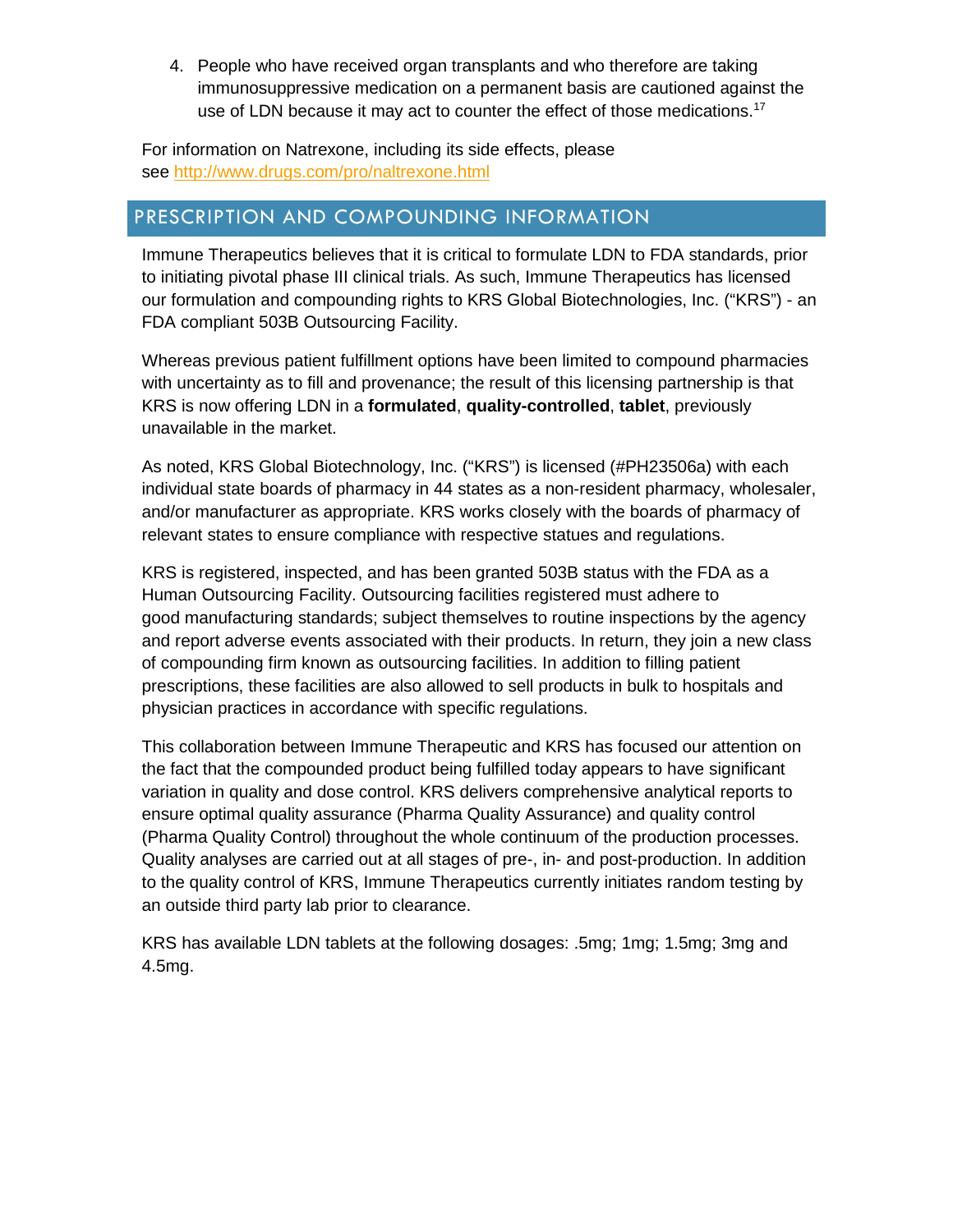4. People who have received organ transplants and who therefore are taking immunosuppressive medication on a permanent basis are cautioned against the use of LDN because it may act to counter the effect of those medications.<sup>17</sup>

For information on Natrexone, including its side effects, please see<http://www.drugs.com/pro/naltrexone.html>

## PRESCRIPTION AND COMPOUNDING INFORMATION

Immune Therapeutics believes that it is critical to formulate LDN to FDA standards, prior to initiating pivotal phase III clinical trials. As such, Immune Therapeutics has licensed our formulation and compounding rights to KRS Global Biotechnologies, Inc. ("KRS") - an FDA compliant 503B Outsourcing Facility.

Whereas previous patient fulfillment options have been limited to compound pharmacies with uncertainty as to fill and provenance; the result of this licensing partnership is that KRS is now offering LDN in a **formulated**, **quality-controlled**, **tablet**, previously unavailable in the market.

As noted, KRS Global Biotechnology, Inc. ("KRS") is licensed (#PH23506a) with each individual state boards of pharmacy in 44 states as a non-resident pharmacy, wholesaler, and/or manufacturer as appropriate. KRS works closely with the boards of pharmacy of relevant states to ensure compliance with respective statues and regulations.

KRS is registered, inspected, and has been granted 503B status with the FDA as a Human Outsourcing Facility. Outsourcing facilities registered must adhere to good manufacturing standards; subject themselves to routine inspections by the agency and report adverse events associated with their products. In return, they join a new class of compounding firm known as outsourcing facilities. In addition to filling patient prescriptions, these facilities are also allowed to sell products in bulk to hospitals and physician practices in accordance with specific regulations.

This collaboration between Immune Therapeutic and KRS has focused our attention on the fact that the compounded product being fulfilled today appears to have significant variation in quality and dose control. KRS delivers comprehensive analytical reports to ensure optimal quality assurance (Pharma Quality Assurance) and quality control (Pharma Quality Control) throughout the whole continuum of the production processes. Quality analyses are carried out at all stages of pre-, in- and post-production. In addition to the quality control of KRS, Immune Therapeutics currently initiates random testing by an outside third party lab prior to clearance.

KRS has available LDN tablets at the following dosages: .5mg; 1mg; 1.5mg; 3mg and 4.5mg.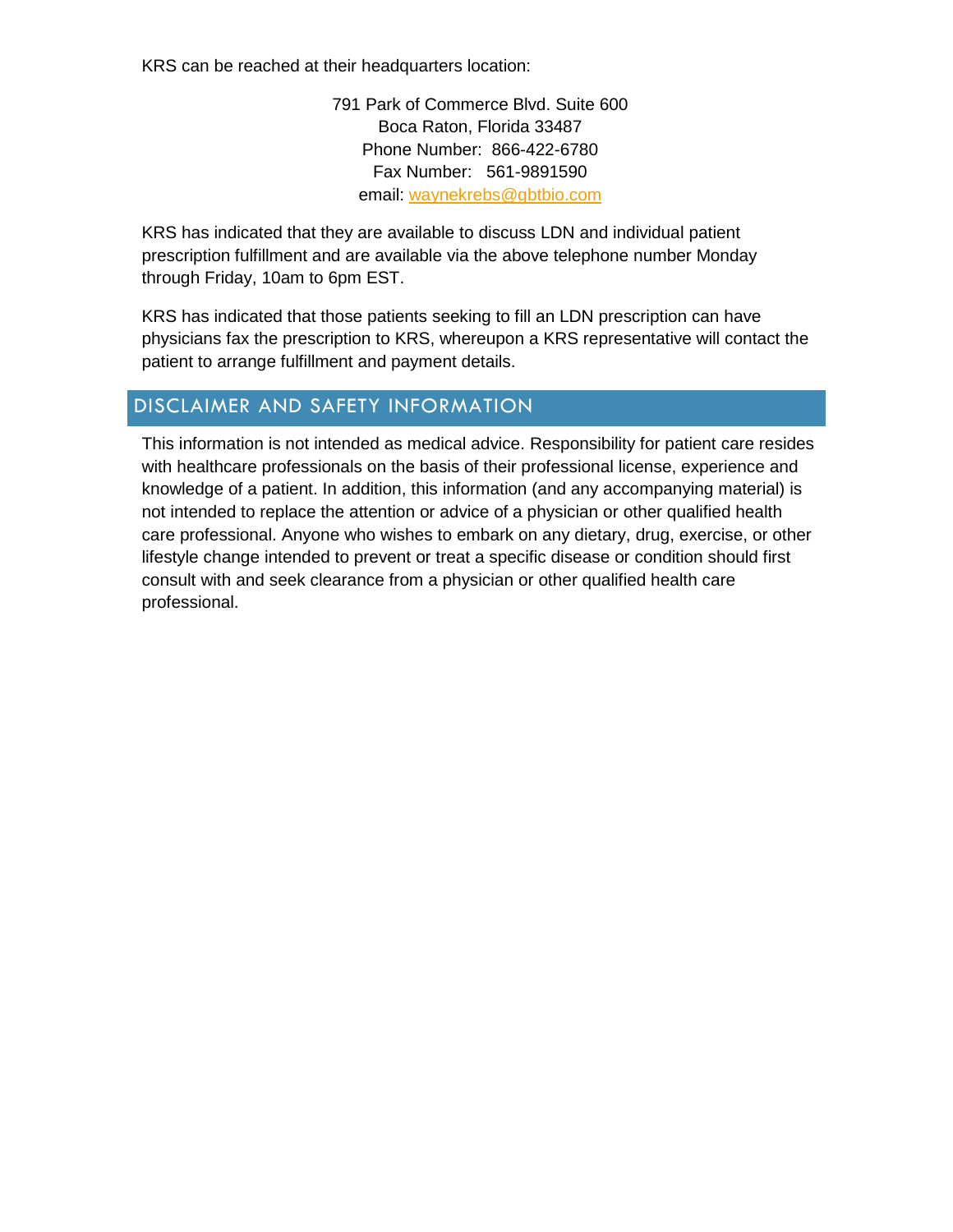KRS can be reached at their headquarters location:

791 Park of Commerce Blvd. Suite 600 Boca Raton, Florida 33487 Phone Number: 866-422-6780 Fax Number: 561-9891590 email: [waynekrebs@gbtbio.com](mailto:waynekrebs@gbtbio.com)

KRS has indicated that they are available to discuss LDN and individual patient prescription fulfillment and are available via the above telephone number Monday through Friday, 10am to 6pm EST.

KRS has indicated that those patients seeking to fill an LDN prescription can have physicians fax the prescription to KRS, whereupon a KRS representative will contact the patient to arrange fulfillment and payment details.

## DISCLAIMER AND SAFETY INFORMATION

This information is not intended as medical advice. Responsibility for patient care resides with healthcare professionals on the basis of their professional license, experience and knowledge of a patient. In addition, this information (and any accompanying material) is not intended to replace the attention or advice of a physician or other qualified health care professional. Anyone who wishes to embark on any dietary, drug, exercise, or other lifestyle change intended to prevent or treat a specific disease or condition should first consult with and seek clearance from a physician or other qualified health care professional.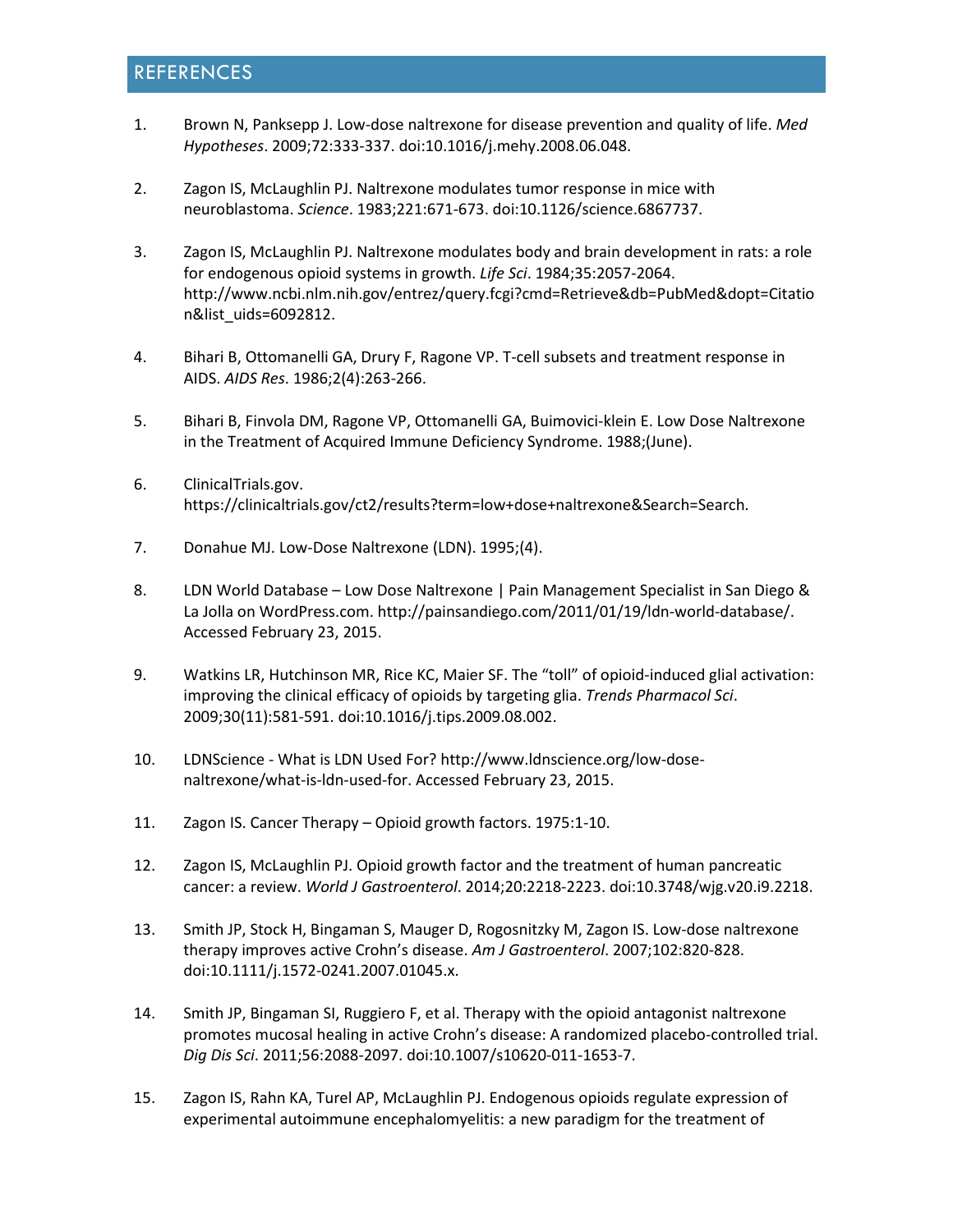## REFERENCES

- 1. Brown N, Panksepp J. Low-dose naltrexone for disease prevention and quality of life. *Med Hypotheses*. 2009;72:333-337. doi:10.1016/j.mehy.2008.06.048.
- 2. Zagon IS, McLaughlin PJ. Naltrexone modulates tumor response in mice with neuroblastoma. *Science*. 1983;221:671-673. doi:10.1126/science.6867737.
- 3. Zagon IS, McLaughlin PJ. Naltrexone modulates body and brain development in rats: a role for endogenous opioid systems in growth. *Life Sci*. 1984;35:2057-2064. http://www.ncbi.nlm.nih.gov/entrez/query.fcgi?cmd=Retrieve&db=PubMed&dopt=Citatio n&list\_uids=6092812.
- 4. Bihari B, Ottomanelli GA, Drury F, Ragone VP. T-cell subsets and treatment response in AIDS. *AIDS Res*. 1986;2(4):263-266.
- 5. Bihari B, Finvola DM, Ragone VP, Ottomanelli GA, Buimovici-klein E. Low Dose Naltrexone in the Treatment of Acquired Immune Deficiency Syndrome. 1988;(June).
- 6. ClinicalTrials.gov. https://clinicaltrials.gov/ct2/results?term=low+dose+naltrexone&Search=Search.
- 7. Donahue MJ. Low-Dose Naltrexone (LDN). 1995;(4).
- 8. LDN World Database Low Dose Naltrexone | Pain Management Specialist in San Diego & La Jolla on WordPress.com. http://painsandiego.com/2011/01/19/ldn-world-database/. Accessed February 23, 2015.
- 9. Watkins LR, Hutchinson MR, Rice KC, Maier SF. The "toll" of opioid-induced glial activation: improving the clinical efficacy of opioids by targeting glia. *Trends Pharmacol Sci*. 2009;30(11):581-591. doi:10.1016/j.tips.2009.08.002.
- 10. LDNScience What is LDN Used For? http://www.ldnscience.org/low-dosenaltrexone/what-is-ldn-used-for. Accessed February 23, 2015.
- 11. Zagon IS. Cancer Therapy Opioid growth factors. 1975:1-10.
- 12. Zagon IS, McLaughlin PJ. Opioid growth factor and the treatment of human pancreatic cancer: a review. *World J Gastroenterol*. 2014;20:2218-2223. doi:10.3748/wjg.v20.i9.2218.
- 13. Smith JP, Stock H, Bingaman S, Mauger D, Rogosnitzky M, Zagon IS. Low-dose naltrexone therapy improves active Crohn's disease. *Am J Gastroenterol*. 2007;102:820-828. doi:10.1111/j.1572-0241.2007.01045.x.
- 14. Smith JP, Bingaman SI, Ruggiero F, et al. Therapy with the opioid antagonist naltrexone promotes mucosal healing in active Crohn's disease: A randomized placebo-controlled trial. *Dig Dis Sci*. 2011;56:2088-2097. doi:10.1007/s10620-011-1653-7.
- 15. Zagon IS, Rahn KA, Turel AP, McLaughlin PJ. Endogenous opioids regulate expression of experimental autoimmune encephalomyelitis: a new paradigm for the treatment of